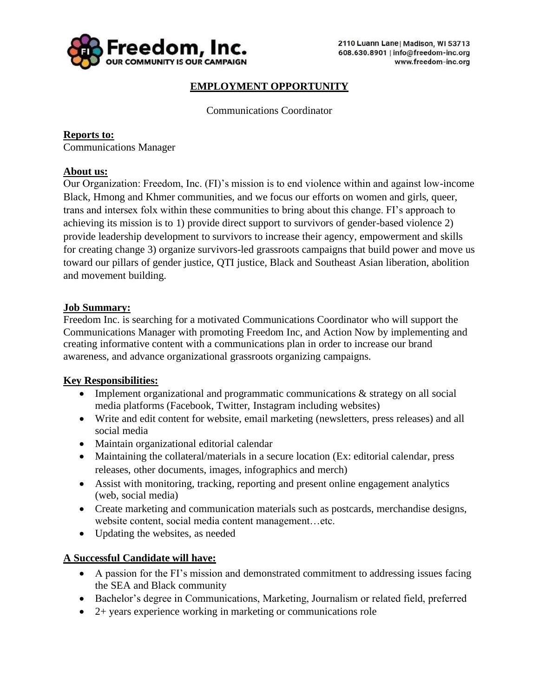

# **EMPLOYMENT OPPORTUNITY**

Communications Coordinator

**Reports to:** Communications Manager

# **About us:**

Our Organization: Freedom, Inc. (FI)'s mission is to end violence within and against low-income Black, Hmong and Khmer communities, and we focus our efforts on women and girls, queer, trans and intersex folx within these communities to bring about this change. FI's approach to achieving its mission is to 1) provide direct support to survivors of gender-based violence 2) provide leadership development to survivors to increase their agency, empowerment and skills for creating change 3) organize survivors-led grassroots campaigns that build power and move us toward our pillars of gender justice, QTI justice, Black and Southeast Asian liberation, abolition and movement building.

#### **Job Summary:**

Freedom Inc. is searching for a motivated Communications Coordinator who will support the Communications Manager with promoting Freedom Inc, and Action Now by implementing and creating informative content with a communications plan in order to increase our brand awareness, and advance organizational grassroots organizing campaigns.

#### **Key Responsibilities:**

- Implement organizational and programmatic communications & strategy on all social media platforms (Facebook, Twitter, Instagram including websites)
- Write and edit content for website, email marketing (newsletters, press releases) and all social media
- Maintain organizational editorial calendar
- Maintaining the collateral/materials in a secure location (Ex: editorial calendar, press releases, other documents, images, infographics and merch)
- Assist with monitoring, tracking, reporting and present online engagement analytics (web, social media)
- Create marketing and communication materials such as postcards, merchandise designs, website content, social media content management…etc.
- Updating the websites, as needed

#### **A Successful Candidate will have:**

- A passion for the FI's mission and demonstrated commitment to addressing issues facing the SEA and Black community
- Bachelor's degree in Communications, Marketing, Journalism or related field, preferred
- 2+ years experience working in marketing or communications role